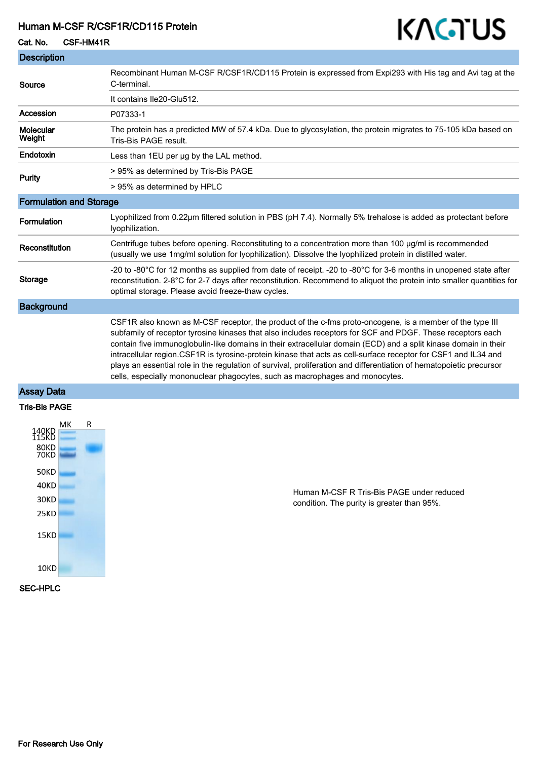## Human M-CSF R/CSF1R/CD115 Protein

### Cat. No. CSF-HM41R



## Assay Data

#### Tris-Bis PAGE



Human M-CSF R Tris-Bis PAGE under reduced condition. The purity is greater than 95%.

KAGTUS